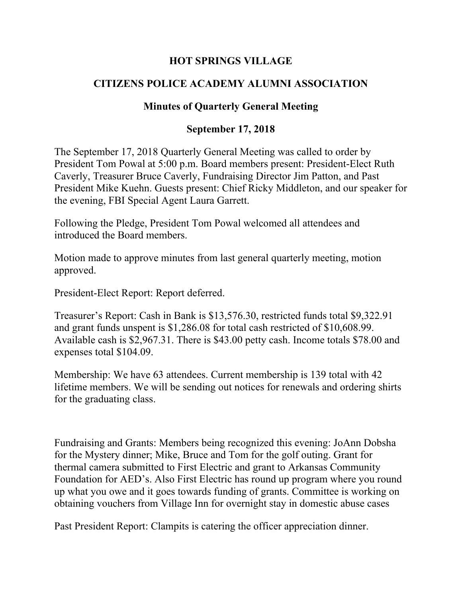## **HOT SPRINGS VILLAGE**

## **CITIZENS POLICE ACADEMY ALUMNI ASSOCIATION**

## **Minutes of Quarterly General Meeting**

## **September 17, 2018**

The September 17, 2018 Quarterly General Meeting was called to order by President Tom Powal at 5:00 p.m. Board members present: President-Elect Ruth Caverly, Treasurer Bruce Caverly, Fundraising Director Jim Patton, and Past President Mike Kuehn. Guests present: Chief Ricky Middleton, and our speaker for the evening, FBI Special Agent Laura Garrett.

Following the Pledge, President Tom Powal welcomed all attendees and introduced the Board members.

Motion made to approve minutes from last general quarterly meeting, motion approved.

President-Elect Report: Report deferred.

Treasurer's Report: Cash in Bank is \$13,576.30, restricted funds total \$9,322.91 and grant funds unspent is \$1,286.08 for total cash restricted of \$10,608.99. Available cash is \$2,967.31. There is \$43.00 petty cash. Income totals \$78.00 and expenses total \$104.09.

Membership: We have 63 attendees. Current membership is 139 total with 42 lifetime members. We will be sending out notices for renewals and ordering shirts for the graduating class.

Fundraising and Grants: Members being recognized this evening: JoAnn Dobsha for the Mystery dinner; Mike, Bruce and Tom for the golf outing. Grant for thermal camera submitted to First Electric and grant to Arkansas Community Foundation for AED's. Also First Electric has round up program where you round up what you owe and it goes towards funding of grants. Committee is working on obtaining vouchers from Village Inn for overnight stay in domestic abuse cases

Past President Report: Clampits is catering the officer appreciation dinner.